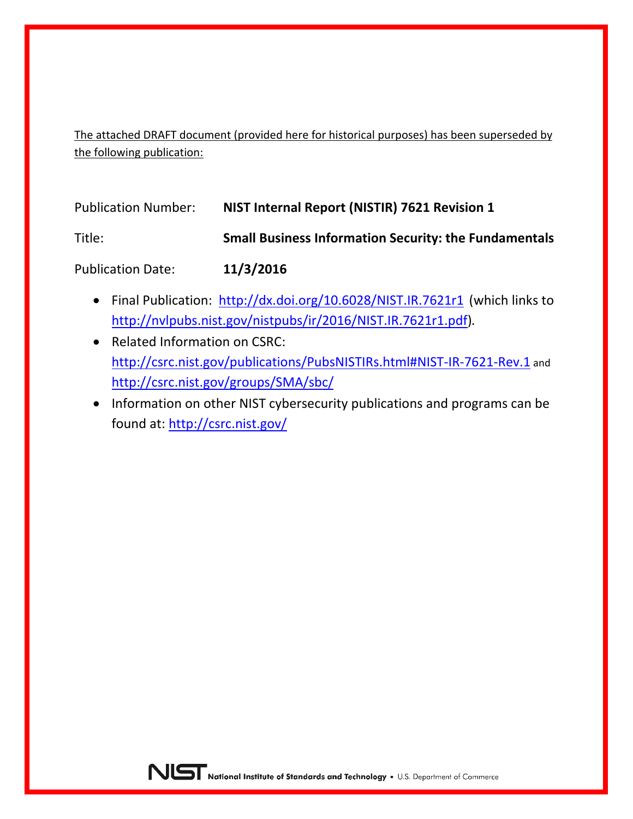The attached DRAFT document (provided here for historical purposes) has been superseded by the following publication:

| <b>Publication Number:</b> | NIST Internal Report (NISTIR) 7621 Revision 1                |
|----------------------------|--------------------------------------------------------------|
| Title:                     | <b>Small Business Information Security: the Fundamentals</b> |
| <b>Publication Date:</b>   | 11/3/2016                                                    |

- Final Publication: <http://dx.doi.org/10.6028/NIST.IR.7621r1> (which links to [http://nvlpubs.nist.gov/nistpubs/ir/2016/NIST.IR.7621r1.pdf\)](http://nvlpubs.nist.gov/nistpubs/ir/2016/NIST.IR.7621r1.pdf)*.*
- Related Information on CSRC: <http://csrc.nist.gov/publications/PubsNISTIRs.html#NIST-IR-7621-Rev.1> and <http://csrc.nist.gov/groups/SMA/sbc/>
- Information on other NIST cybersecurity publications and programs can be found at:<http://csrc.nist.gov/>

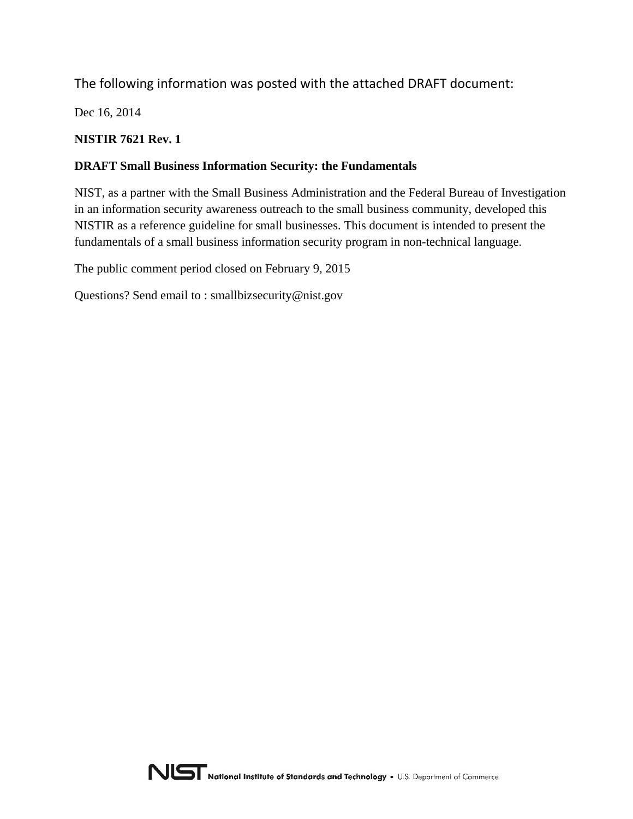# The following information was posted with the attached DRAFT document:

Dec 16, 2014

## **NISTIR 7621 Rev. 1**

## **DRAFT Small Business Information Security: the Fundamentals**

NIST, as a partner with the Small Business Administration and the Federal Bureau of Investigation in an information security awareness outreach to the small business community, developed this NISTIR as a reference guideline for small businesses. This document is intended to present the fundamentals of a small business information security program in non-technical language.

The public comment period closed on February 9, 2015

Questions? Send email to : smallbizsecurity@nist.gov

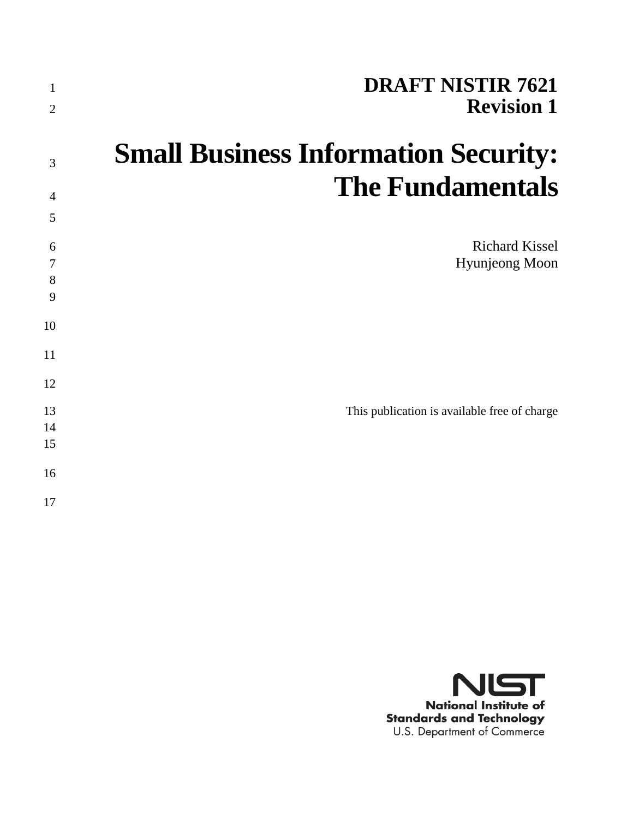| <b>DRAFT NISTIR 7621</b><br><b>Revision 1</b> | 1<br>$\overline{2}$ |
|-----------------------------------------------|---------------------|
| <b>Small Business Information Security:</b>   | 3                   |
| <b>The Fundamentals</b>                       | $\overline{4}$      |
|                                               | 5                   |
| <b>Richard Kissel</b><br>Hyunjeong Moon       | 6<br>7              |
|                                               | 8<br>9              |
|                                               | 10                  |
|                                               | 11                  |
|                                               | 12                  |
| This publication is available free of charge  | 13                  |
|                                               | 14                  |
|                                               | 15                  |
|                                               | 16                  |
|                                               | 17                  |

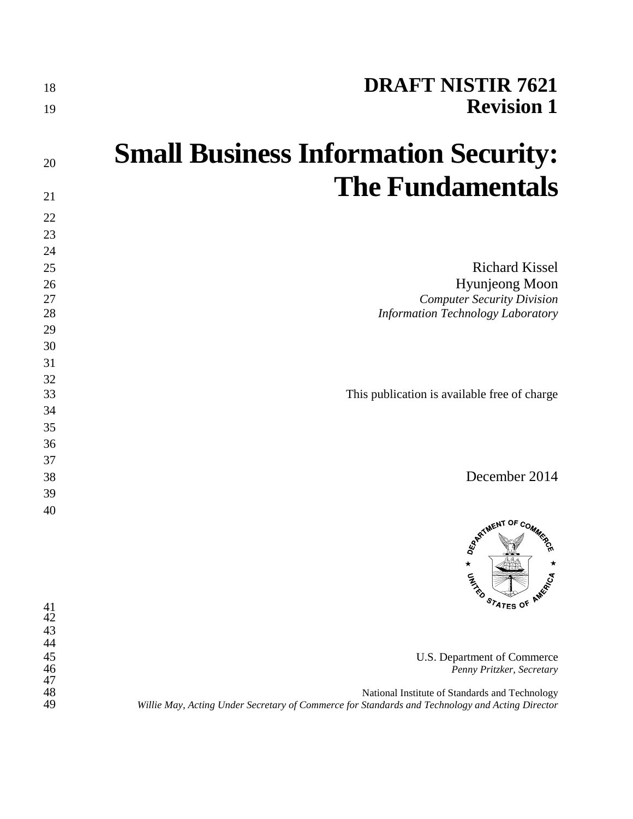| 18<br>19             | <b>DRAFT NISTIR 7621</b><br><b>Revision 1</b>                                                                                                     |
|----------------------|---------------------------------------------------------------------------------------------------------------------------------------------------|
| 20                   | <b>Small Business Information Security:</b>                                                                                                       |
| 21                   | <b>The Fundamentals</b>                                                                                                                           |
| 22                   |                                                                                                                                                   |
| 23                   |                                                                                                                                                   |
| 24                   |                                                                                                                                                   |
| 25                   | <b>Richard Kissel</b>                                                                                                                             |
| 26                   | Hyunjeong Moon                                                                                                                                    |
| 27                   | <b>Computer Security Division</b>                                                                                                                 |
| 28                   | <b>Information Technology Laboratory</b>                                                                                                          |
| 29                   |                                                                                                                                                   |
| 30                   |                                                                                                                                                   |
| 31                   |                                                                                                                                                   |
| 32                   |                                                                                                                                                   |
| 33                   | This publication is available free of charge                                                                                                      |
| 34                   |                                                                                                                                                   |
| 35                   |                                                                                                                                                   |
| 36                   |                                                                                                                                                   |
| 37                   |                                                                                                                                                   |
| 38                   | December 2014                                                                                                                                     |
| 39                   |                                                                                                                                                   |
| 40                   |                                                                                                                                                   |
|                      | RTMENT OF COMME<br>DEPA<br><b>RCE</b><br>CATARD<br>KANCA                                                                                          |
| $^{41}_{42}$<br>43   | STATES OF                                                                                                                                         |
| 44<br>45<br>46<br>47 | U.S. Department of Commerce<br>Penny Pritzker, Secretary                                                                                          |
| 48<br>49             | National Institute of Standards and Technology<br>Willie May, Acting Under Secretary of Commerce for Standards and Technology and Acting Director |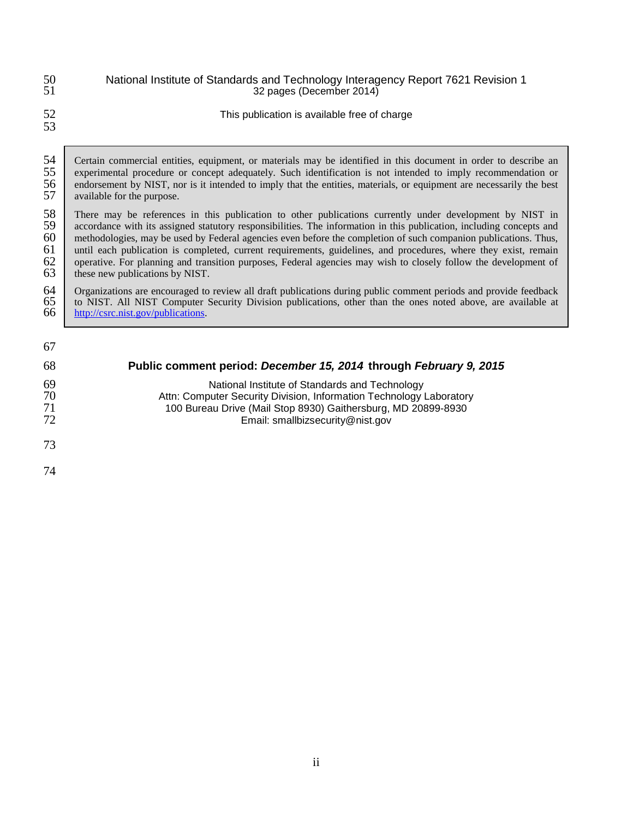| 50<br>51 | National Institute of Standards and Technology Interagency Report 7621 Revision 1<br>32 pages (December 2014) |
|----------|---------------------------------------------------------------------------------------------------------------|
| 52<br>53 | This publication is available free of charge                                                                  |
|          |                                                                                                               |

54 Certain commercial entities, equipment, or materials may be identified in this document in order to describe an experimental procedure or concept adequately. Such identification is not intended to imply recommendation o 55 experimental procedure or concept adequately. Such identification is not intended to imply recommendation or endorsement by NIST, nor is it intended to imply that the entities, materials, or equipment are necessarily th 56 endorsement by NIST, nor is it intended to imply that the entities, materials, or equipment are necessarily the best available for the purpose. available for the purpose.

58 There may be references in this publication to other publications currently under development by NIST in accordance with its assigned statutory responsibilities. The information in this publication, including concepts a 59 accordance with its assigned statutory responsibilities. The information in this publication, including concepts and methodologies, may be used by Federal agencies even before the completion of such companion publicatio 60 methodologies, may be used by Federal agencies even before the completion of such companion publications. Thus, until each publication is completed, current requirements, guidelines, and procedures, where they exist, re 61 until each publication is completed, current requirements, guidelines, and procedures, where they exist, remain operative. For planning and transition purposes, Federal agencies may wish to closely follow the developmen 62 operative. For planning and transition purposes, Federal agencies may wish to closely follow the development of these new publications by NIST. these new publications by NIST.

#### 64 Organizations are encouraged to review all draft publications during public comment periods and provide feedback<br>65 to NIST. All NIST Computer Security Division publications, other than the ones noted above, are availab 65 to NIST. All NIST Computer Security Division publications, other than the ones noted above, are available at [http://csrc.nist.gov/publications.](http://csrc.nist.gov/publications)

| 67                   |                                                                                                                                                                                                                            |
|----------------------|----------------------------------------------------------------------------------------------------------------------------------------------------------------------------------------------------------------------------|
| 68                   | Public comment period: December 15, 2014 through February 9, 2015                                                                                                                                                          |
| 69<br>70<br>71<br>72 | National Institute of Standards and Technology<br>Attn: Computer Security Division, Information Technology Laboratory<br>100 Bureau Drive (Mail Stop 8930) Gaithersburg, MD 20899-8930<br>Email: smallbizsecurity@nist.gov |
| 73                   |                                                                                                                                                                                                                            |
| 74                   |                                                                                                                                                                                                                            |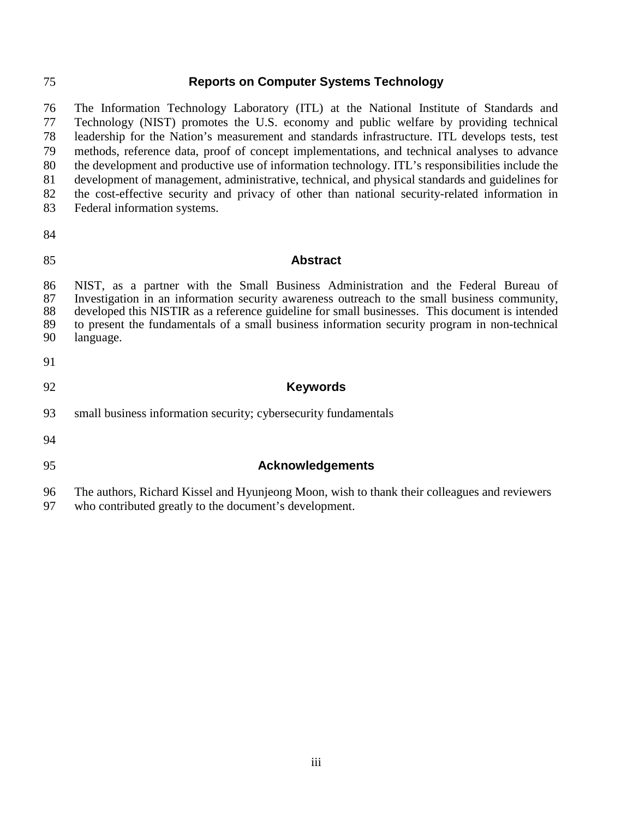#### **Reports on Computer Systems Technology**

 The Information Technology Laboratory (ITL) at the National Institute of Standards and Technology (NIST) promotes the U.S. economy and public welfare by providing technical leadership for the Nation's measurement and standards infrastructure. ITL develops tests, test methods, reference data, proof of concept implementations, and technical analyses to advance the development and productive use of information technology. ITL's responsibilities include the development of management, administrative, technical, and physical standards and guidelines for the cost-effective security and privacy of other than national security-related information in Federal information systems.

#### **Abstract**

86 NIST, as a partner with the Small Business Administration and the Federal Bureau of Investigation in an information security awareness outreach to the small business community. Investigation in an information security awareness outreach to the small business community, developed this NISTIR as a reference guideline for small businesses. This document is intended to present the fundamentals of a small business information security program in non-technical language.

#### **Keywords**

- small business information security; cybersecurity fundamentals
- 
- **Acknowledgements**
- The authors, Richard Kissel and Hyunjeong Moon, wish to thank their colleagues and reviewers
- who contributed greatly to the document's development.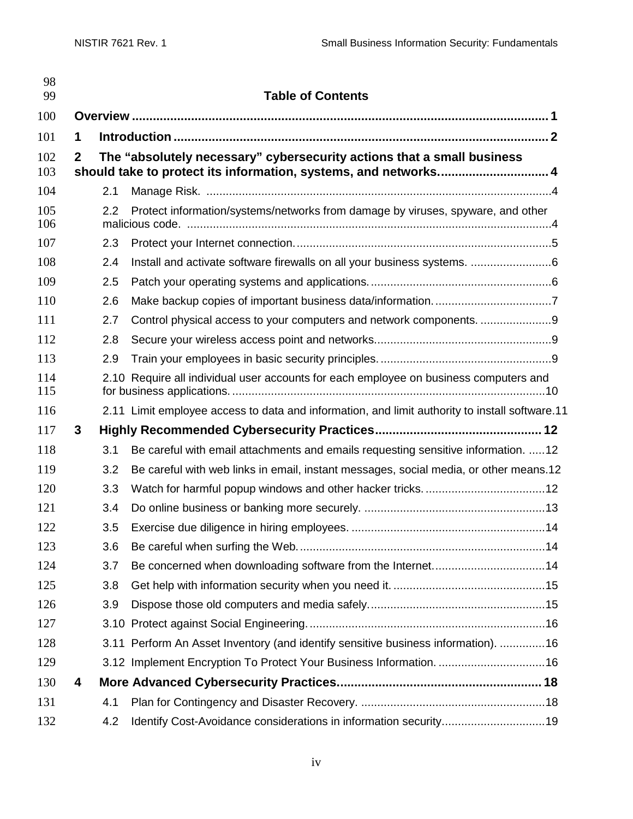| 98<br>99   |              |               | <b>Table of Contents</b>                                                                                                                  |  |
|------------|--------------|---------------|-------------------------------------------------------------------------------------------------------------------------------------------|--|
| 100        |              |               |                                                                                                                                           |  |
| 101        | 1            |               |                                                                                                                                           |  |
| 102<br>103 | $\mathbf{2}$ |               | The "absolutely necessary" cybersecurity actions that a small business<br>should take to protect its information, systems, and networks 4 |  |
| 104        |              | 2.1           |                                                                                                                                           |  |
| 105<br>106 |              | $2.2^{\circ}$ | Protect information/systems/networks from damage by viruses, spyware, and other                                                           |  |
| 107        |              | 2.3           |                                                                                                                                           |  |
| 108        |              | 2.4           | Install and activate software firewalls on all your business systems. 6                                                                   |  |
| 109        |              | 2.5           |                                                                                                                                           |  |
| 110        |              | 2.6           |                                                                                                                                           |  |
| 111        |              | 2.7           |                                                                                                                                           |  |
| 112        |              | 2.8           |                                                                                                                                           |  |
| 113        |              | 2.9           |                                                                                                                                           |  |
| 114<br>115 |              |               | 2.10 Require all individual user accounts for each employee on business computers and                                                     |  |
| 116        |              |               | 2.11 Limit employee access to data and information, and limit authority to install software.11                                            |  |
| 117        | 3            |               |                                                                                                                                           |  |
| 118        |              | 3.1           | Be careful with email attachments and emails requesting sensitive information. 12                                                         |  |
| 119        |              | 3.2           | Be careful with web links in email, instant messages, social media, or other means.12                                                     |  |
| 120        |              | 3.3           |                                                                                                                                           |  |
| 121        |              | 3.4           |                                                                                                                                           |  |
| 122        |              | 3.5           |                                                                                                                                           |  |
| 123        |              | 3.6           |                                                                                                                                           |  |
| 124        |              | 3.7           |                                                                                                                                           |  |
| 125        |              | 3.8           |                                                                                                                                           |  |
| 126        |              | 3.9           |                                                                                                                                           |  |
| 127        |              |               |                                                                                                                                           |  |
| 128        |              |               | 3.11 Perform An Asset Inventory (and identify sensitive business information). 16                                                         |  |
| 129        |              |               |                                                                                                                                           |  |
| 130        | 4            |               |                                                                                                                                           |  |
| 131        |              | 4.1           |                                                                                                                                           |  |
| 132        |              | 4.2           | Identify Cost-Avoidance considerations in information security19                                                                          |  |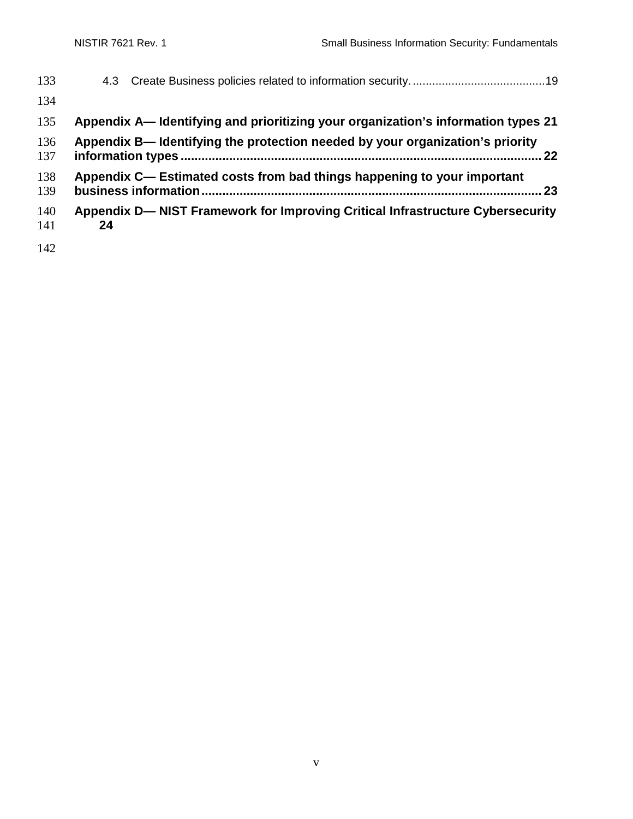| 133        |                                                                                      |
|------------|--------------------------------------------------------------------------------------|
| 134        |                                                                                      |
| 135        | Appendix A— Identifying and prioritizing your organization's information types 21    |
| 136<br>137 | Appendix B- Identifying the protection needed by your organization's priority<br>22  |
| 138<br>139 | Appendix C- Estimated costs from bad things happening to your important<br>23        |
| 140<br>141 | Appendix D— NIST Framework for Improving Critical Infrastructure Cybersecurity<br>24 |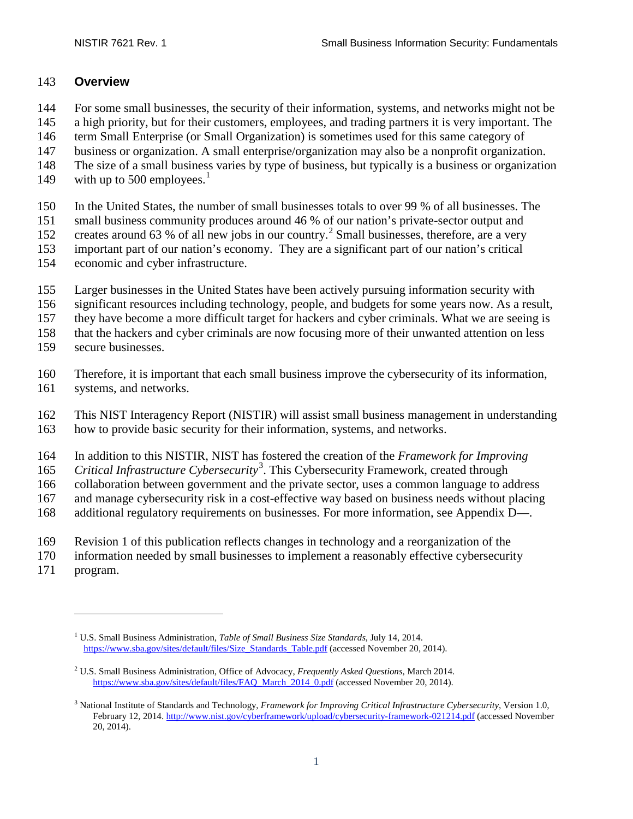#### <span id="page-8-0"></span>**Overview**

- For some small businesses, the security of their information, systems, and networks might not be
- a high priority, but for their customers, employees, and trading partners it is very important. The
- term Small Enterprise (or Small Organization) is sometimes used for this same category of
- business or organization. A small enterprise/organization may also be a nonprofit organization.
- The size of a small business varies by type of business, but typically is a business or organization
- 49 with up to 500 employees.<sup>1</sup>
- In the United States, the number of small businesses totals to over 99 % of all businesses. The
- small business community produces around 46 % of our nation's private-sector output and
- [2](#page-8-2) creates around 63 % of all new jobs in our country.<sup>2</sup> Small businesses, therefore, are a very
- important part of our nation's economy. They are a significant part of our nation's critical
- economic and cyber infrastructure.
- Larger businesses in the United States have been actively pursuing information security with
- significant resources including technology, people, and budgets for some years now. As a result,
- they have become a more difficult target for hackers and cyber criminals. What we are seeing is
- that the hackers and cyber criminals are now focusing more of their unwanted attention on less
- secure businesses.

 $\overline{a}$ 

- Therefore, it is important that each small business improve the cybersecurity of its information,
- systems, and networks.
- This NIST Interagency Report (NISTIR) will assist small business management in understanding how to provide basic security for their information, systems, and networks.
- In addition to this NISTIR, NIST has fostered the creation of the *Framework for Improving*
- 165 Critical Infrastructure Cybersecurity<sup>[3](#page-8-3)</sup>. This Cybersecurity Framework, created through
- collaboration between government and the private sector, uses a common language to address
- and manage cybersecurity risk in a cost-effective way based on business needs without placing
- additional regulatory requirements on businesses. For more information, see [Appendix D—.](#page-31-0)
- Revision 1 of this publication reflects changes in technology and a reorganization of the
- information needed by small businesses to implement a reasonably effective cybersecurity program.

<span id="page-8-1"></span> U.S. Small Business Administration, *Table of Small Business Size Standards*, July 14, 2014. [https://www.sba.gov/sites/default/files/Size\\_Standards\\_Table.pdf](https://www.sba.gov/sites/default/files/Size_Standards_Table.pdf) (accessed November 20, 2014).

<span id="page-8-2"></span> U.S. Small Business Administration, Office of Advocacy, *Frequently Asked Questions,* March 2014. [https://www.sba.gov/sites/default/files/FAQ\\_March\\_2014\\_0.pdf](https://www.sba.gov/sites/default/files/FAQ_March_2014_0.pdf) (accessed November 20, 2014).

<span id="page-8-3"></span> National Institute of Standards and Technology, *Framework for Improving Critical Infrastructure Cybersecurity*, Version 1.0, February 12, 2014[. http://www.nist.gov/cyberframework/upload/cybersecurity-framework-021214.pdf](http://www.nist.gov/cyberframework/upload/cybersecurity-framework-021214.pdf) (accessed November 20, 2014).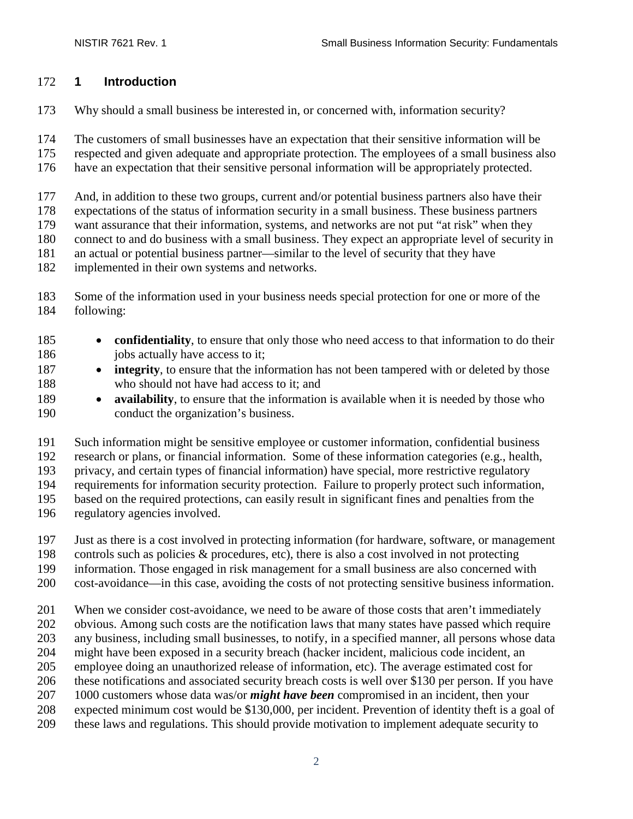## <span id="page-9-0"></span>**1 Introduction**

Why should a small business be interested in, or concerned with, information security?

The customers of small businesses have an expectation that their sensitive information will be

respected and given adequate and appropriate protection. The employees of a small business also

have an expectation that their sensitive personal information will be appropriately protected.

177 And, in addition to these two groups, current and/or potential business partners also have their

expectations of the status of information security in a small business. These business partners

want assurance that their information, systems, and networks are not put "at risk" when they

connect to and do business with a small business. They expect an appropriate level of security in

- an actual or potential business partner—similar to the level of security that they have
- implemented in their own systems and networks.
- Some of the information used in your business needs special protection for one or more of the following:
- **confidentiality**, to ensure that only those who need access to that information to do their **jobs actually have access to it;**
- **integrity**, to ensure that the information has not been tampered with or deleted by those who should not have had access to it; and
- **availability**, to ensure that the information is available when it is needed by those who conduct the organization's business.

Such information might be sensitive employee or customer information, confidential business

research or plans, or financial information. Some of these information categories (e.g., health,

privacy, and certain types of financial information) have special, more restrictive regulatory

requirements for information security protection. Failure to properly protect such information,

based on the required protections, can easily result in significant fines and penalties from the

- regulatory agencies involved.
- Just as there is a cost involved in protecting information (for hardware, software, or management

controls such as policies & procedures, etc), there is also a cost involved in not protecting

information. Those engaged in risk management for a small business are also concerned with

cost-avoidance—in this case, avoiding the costs of not protecting sensitive business information.

201 When we consider cost-avoidance, we need to be aware of those costs that aren't immediately

obvious. Among such costs are the notification laws that many states have passed which require

any business, including small businesses, to notify, in a specified manner, all persons whose data

might have been exposed in a security breach (hacker incident, malicious code incident, an

employee doing an unauthorized release of information, etc). The average estimated cost for

these notifications and associated security breach costs is well over \$130 per person. If you have

1000 customers whose data was/or *might have been* compromised in an incident, then your

expected minimum cost would be \$130,000, per incident. Prevention of identity theft is a goal of

these laws and regulations. This should provide motivation to implement adequate security to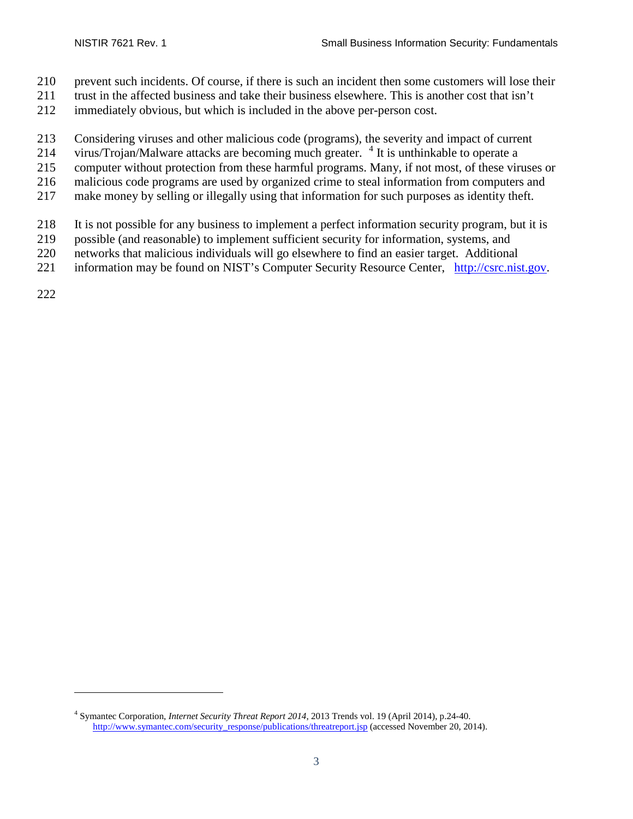- prevent such incidents. Of course, if there is such an incident then some customers will lose their
- trust in the affected business and take their business elsewhere. This is another cost that isn't
- immediately obvious, but which is included in the above per-person cost.
- Considering viruses and other malicious code (programs), the severity and impact of current
- [4](#page-10-0) virus/Trojan/Malware attacks are becoming much greater. <sup>4</sup> It is unthinkable to operate a
- computer without protection from these harmful programs. Many, if not most, of these viruses or
- malicious code programs are used by organized crime to steal information from computers and
- make money by selling or illegally using that information for such purposes as identity theft.
- It is not possible for any business to implement a perfect information security program, but it is
- possible (and reasonable) to implement sufficient security for information, systems, and
- networks that malicious individuals will go elsewhere to find an easier target. Additional
- 221 information may be found on NIST's Computer Security Resource Center, [http://csrc.nist.gov.](http://csrc.nist.gov/)

 $\overline{a}$ 

<span id="page-10-0"></span> Symantec Corporation, *Internet Security Threat Report 2014*, 2013 Trends vol. 19 (April 2014), p.24-40. [http://www.symantec.com/security\\_response/publications/threatreport.jsp](http://www.symantec.com/security_response/publications/threatreport.jsp) (accessed November 20, 2014).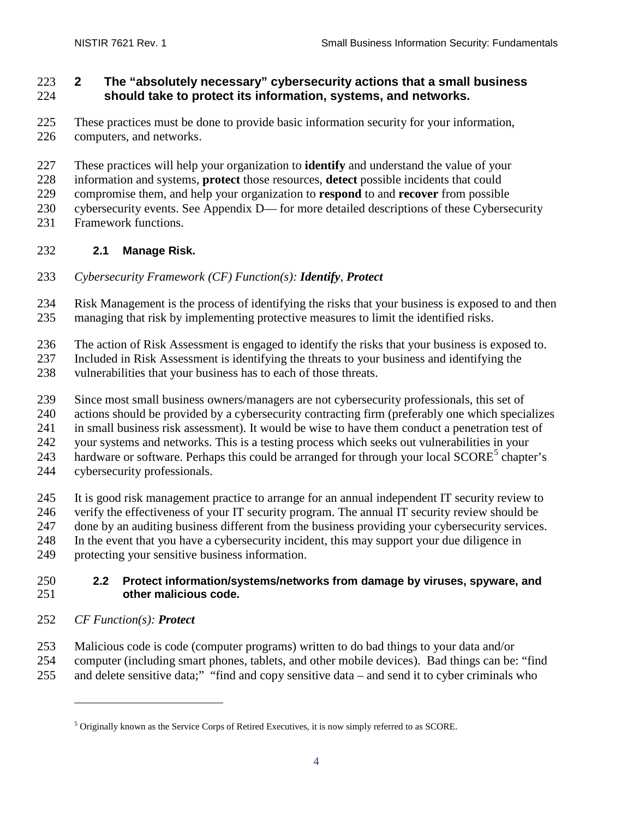## <span id="page-11-0"></span> **2 The "absolutely necessary" cybersecurity actions that a small business should take to protect its information, systems, and networks.**

 These practices must be done to provide basic information security for your information, computers, and networks.

These practices will help your organization to **identify** and understand the value of your

information and systems, **protect** those resources, **detect** possible incidents that could

compromise them, and help your organization to **respond** to and **recover** from possible

cybersecurity events. See [Appendix D—](#page-31-0) for more detailed descriptions of these Cybersecurity

Framework functions.

## <span id="page-11-1"></span>**2.1 Manage Risk.**

## *Cybersecurity Framework (CF) Function(s): Identify, Protect*

Risk Management is the process of identifying the risks that your business is exposed to and then

managing that risk by implementing protective measures to limit the identified risks.

The action of Risk Assessment is engaged to identify the risks that your business is exposed to.

Included in Risk Assessment is identifying the threats to your business and identifying the

vulnerabilities that your business has to each of those threats.

Since most small business owners/managers are not cybersecurity professionals, this set of

actions should be provided by a cybersecurity contracting firm (preferably one which specializes

in small business risk assessment). It would be wise to have them conduct a penetration test of

242 your systems and networks. This is a testing process which seeks out vulnerabilities in your<br>243 hardware or software. Perhaps this could be arranged for through your local SCORE<sup>5</sup> chapter

hardware or software. Perhaps this could be arranged for through your local  $SCORE<sup>5</sup>$  $SCORE<sup>5</sup>$  $SCORE<sup>5</sup>$  chapter's

cybersecurity professionals.

It is good risk management practice to arrange for an annual independent IT security review to

verify the effectiveness of your IT security program. The annual IT security review should be

done by an auditing business different from the business providing your cybersecurity services.

In the event that you have a cybersecurity incident, this may support your due diligence in

protecting your sensitive business information.

## <span id="page-11-2"></span> **2.2 Protect information/systems/networks from damage by viruses, spyware, and other malicious code.**

*CF Function(s): Protect*

 $\overline{a}$ 

- Malicious code is code (computer programs) written to do bad things to your data and/or
- computer (including smart phones, tablets, and other mobile devices). Bad things can be: "find
- <span id="page-11-3"></span>and delete sensitive data;" "find and copy sensitive data – and send it to cyber criminals who

Originally known as the Service Corps of Retired Executives, it is now simply referred to as SCORE.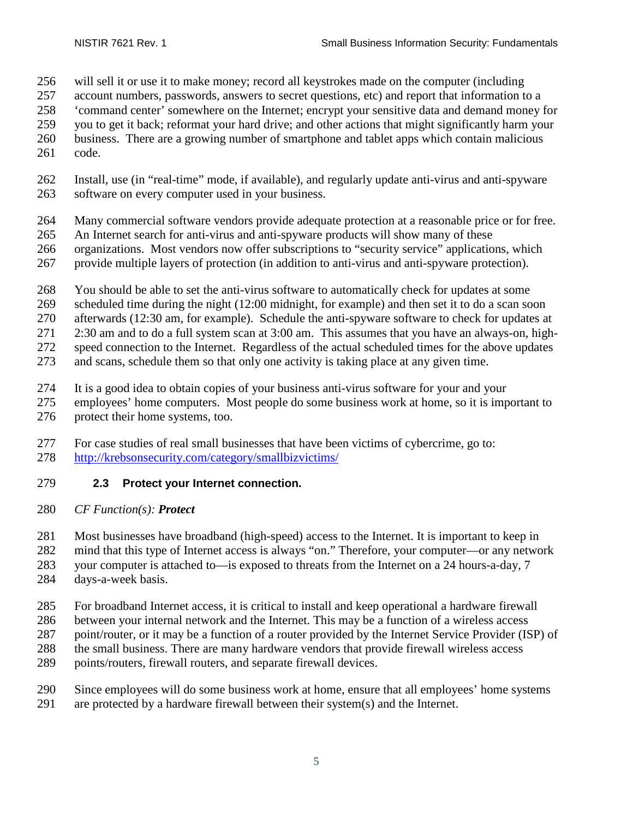- will sell it or use it to make money; record all keystrokes made on the computer (including
- account numbers, passwords, answers to secret questions, etc) and report that information to a
- 'command center' somewhere on the Internet; encrypt your sensitive data and demand money for
- you to get it back; reformat your hard drive; and other actions that might significantly harm your
- business. There are a growing number of smartphone and tablet apps which contain malicious code.
- Install, use (in "real-time" mode, if available), and regularly update anti-virus and anti-spyware software on every computer used in your business.
- Many commercial software vendors provide adequate protection at a reasonable price or for free.
- An Internet search for anti-virus and anti-spyware products will show many of these
- organizations. Most vendors now offer subscriptions to "security service" applications, which
- provide multiple layers of protection (in addition to anti-virus and anti-spyware protection).
- You should be able to set the anti-virus software to automatically check for updates at some
- scheduled time during the night (12:00 midnight, for example) and then set it to do a scan soon
- afterwards (12:30 am, for example). Schedule the anti-spyware software to check for updates at
- 2:30 am and to do a full system scan at 3:00 am. This assumes that you have an always-on, high-
- speed connection to the Internet. Regardless of the actual scheduled times for the above updates
- and scans, schedule them so that only one activity is taking place at any given time.
- It is a good idea to obtain copies of your business anti-virus software for your and your
- employees' home computers. Most people do some business work at home, so it is important to 276 protect their home systems, too.
- For case studies of real small businesses that have been victims of cybercrime, go to: <http://krebsonsecurity.com/category/smallbizvictims/>
- <span id="page-12-0"></span>**2.3 Protect your Internet connection.**
- *CF Function(s): Protect*
- Most businesses have broadband (high-speed) access to the Internet. It is important to keep in mind that this type of Internet access is always "on." Therefore, your computer—or any network
- your computer is attached to—is exposed to threats from the Internet on a 24 hours-a-day, 7 days-a-week basis.
- For broadband Internet access, it is critical to install and keep operational a hardware firewall
- between your internal network and the Internet. This may be a function of a wireless access
- point/router, or it may be a function of a router provided by the Internet Service Provider (ISP) of
- the small business. There are many hardware vendors that provide firewall wireless access
- points/routers, firewall routers, and separate firewall devices.
- Since employees will do some business work at home, ensure that all employees' home systems are protected by a hardware firewall between their system(s) and the Internet.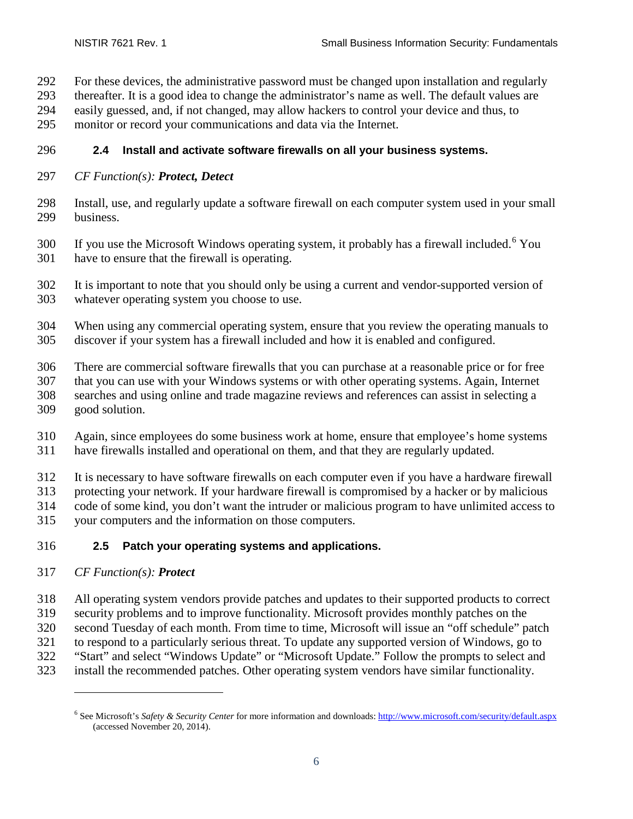For these devices, the administrative password must be changed upon installation and regularly

thereafter. It is a good idea to change the administrator's name as well. The default values are

easily guessed, and, if not changed, may allow hackers to control your device and thus, to

monitor or record your communications and data via the Internet.

## <span id="page-13-0"></span>**2.4 Install and activate software firewalls on all your business systems.**

- *CF Function(s): Protect, Detect*
- Install, use, and regularly update a software firewall on each computer system used in your small business.
- If you use the Microsoft Windows operating system, it probably has a firewall included.<sup>[6](#page-13-2)</sup> You have to ensure that the firewall is operating.
- It is important to note that you should only be using a current and vendor-supported version of whatever operating system you choose to use.
- When using any commercial operating system, ensure that you review the operating manuals to discover if your system has a firewall included and how it is enabled and configured.
- There are commercial software firewalls that you can purchase at a reasonable price or for free that you can use with your Windows systems or with other operating systems. Again, Internet searches and using online and trade magazine reviews and references can assist in selecting a good solution.
- Again, since employees do some business work at home, ensure that employee's home systems
- have firewalls installed and operational on them, and that they are regularly updated.

It is necessary to have software firewalls on each computer even if you have a hardware firewall

protecting your network. If your hardware firewall is compromised by a hacker or by malicious

 code of some kind, you don't want the intruder or malicious program to have unlimited access to your computers and the information on those computers.

# <span id="page-13-1"></span>**2.5 Patch your operating systems and applications.**

*CF Function(s): Protect*

 $\overline{a}$ 

All operating system vendors provide patches and updates to their supported products to correct

security problems and to improve functionality. Microsoft provides monthly patches on the

second Tuesday of each month. From time to time, Microsoft will issue an "off schedule" patch

to respond to a particularly serious threat. To update any supported version of Windows, go to

"Start" and select "Windows Update" or "Microsoft Update." Follow the prompts to select and

<span id="page-13-2"></span>install the recommended patches. Other operating system vendors have similar functionality.

 See Microsoft's *Safety & Security Center* for more information and downloads:<http://www.microsoft.com/security/default.aspx> (accessed November 20, 2014).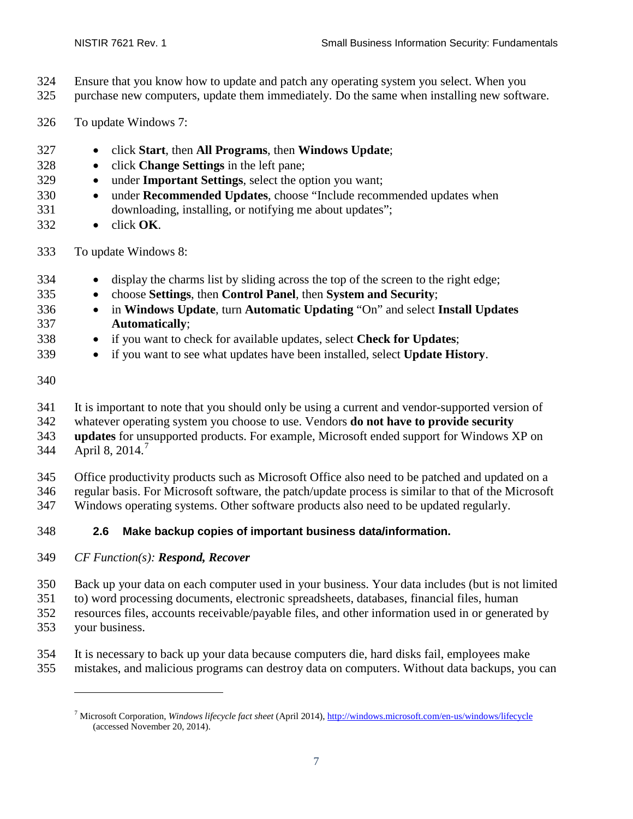- Ensure that you know how to update and patch any operating system you select. When you
- purchase new computers, update them immediately. Do the same when installing new software.
- To update Windows 7:
- click **Start**, then **All Programs**, then **Windows Update**;
- click **Change Settings** in the left pane;
- under **Important Settings**, select the option you want;
- under **Recommended Updates**, choose "Include recommended updates when downloading, installing, or notifying me about updates";
- click **OK**.
- To update Windows 8:
- display the charms list by sliding across the top of the screen to the right edge;
- choose **Settings**, then **Control Panel**, then **System and Security**;
- in **Windows Update**, turn **Automatic Updating** "On" and select **Install Updates Automatically**;
- if you want to check for available updates, select **Check for Updates**;
- if you want to see what updates have been installed, select **Update History**.

- It is important to note that you should only be using a current and vendor-supported version of
- whatever operating system you choose to use. Vendors **do not have to provide security**
- **updates** for unsupported products. For example, Microsoft ended support for Windows XP on April 8, 2014.<sup>7</sup> April 8, 2014.<sup>[7](#page-14-1)</sup>
- 

 Office productivity products such as Microsoft Office also need to be patched and updated on a regular basis. For Microsoft software, the patch/update process is similar to that of the Microsoft

Windows operating systems. Other software products also need to be updated regularly.

- <span id="page-14-0"></span>**2.6 Make backup copies of important business data/information.**
- *CF Function(s): Respond, Recover*
- Back up your data on each computer used in your business. Your data includes (but is not limited
- to) word processing documents, electronic spreadsheets, databases, financial files, human
- resources files, accounts receivable/payable files, and other information used in or generated by
- your business.

 $\overline{a}$ 

- It is necessary to back up your data because computers die, hard disks fail, employees make
- <span id="page-14-1"></span>mistakes, and malicious programs can destroy data on computers. Without data backups, you can

 Microsoft Corporation, *Windows lifecycle fact sheet* (April 2014)[, http://windows.microsoft.com/en-us/windows/lifecycle](http://windows.microsoft.com/en-us/windows/lifecycle) (accessed November 20, 2014).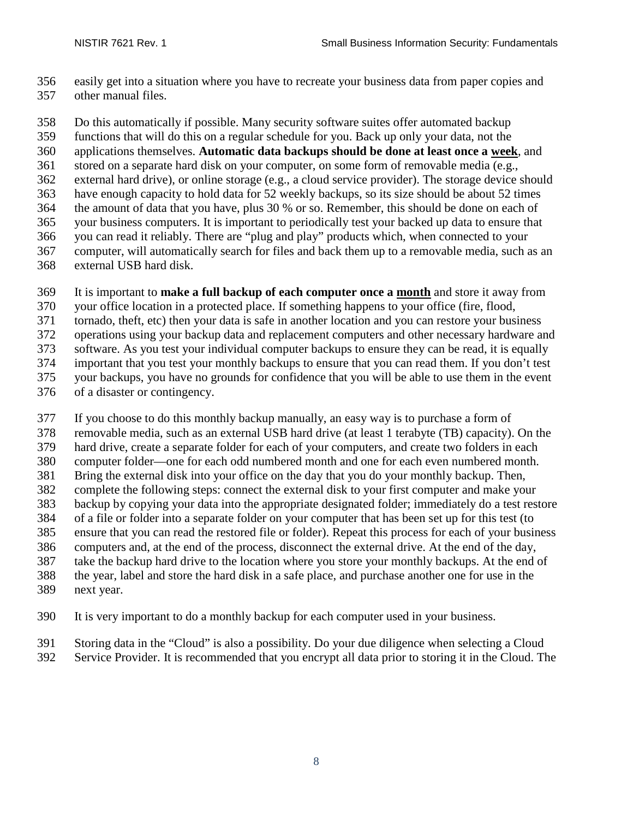easily get into a situation where you have to recreate your business data from paper copies and other manual files.

 Do this automatically if possible. Many security software suites offer automated backup functions that will do this on a regular schedule for you. Back up only your data, not the applications themselves. **Automatic data backups should be done at least once a week**, and stored on a separate hard disk on your computer, on some form of removable media (e.g., external hard drive), or online storage (e.g., a cloud service provider). The storage device should have enough capacity to hold data for 52 weekly backups, so its size should be about 52 times the amount of data that you have, plus 30 % or so. Remember, this should be done on each of your business computers. It is important to periodically test your backed up data to ensure that you can read it reliably. There are "plug and play" products which, when connected to your computer, will automatically search for files and back them up to a removable media, such as an external USB hard disk.

- It is important to **make a full backup of each computer once a month** and store it away from
- your office location in a protected place. If something happens to your office (fire, flood,
- tornado, theft, etc) then your data is safe in another location and you can restore your business
- operations using your backup data and replacement computers and other necessary hardware and
- software. As you test your individual computer backups to ensure they can be read, it is equally
- important that you test your monthly backups to ensure that you can read them. If you don't test your backups, you have no grounds for confidence that you will be able to use them in the event
- of a disaster or contingency.

 If you choose to do this monthly backup manually, an easy way is to purchase a form of removable media, such as an external USB hard drive (at least 1 terabyte (TB) capacity). On the hard drive, create a separate folder for each of your computers, and create two folders in each computer folder—one for each odd numbered month and one for each even numbered month. Bring the external disk into your office on the day that you do your monthly backup. Then, complete the following steps: connect the external disk to your first computer and make your backup by copying your data into the appropriate designated folder; immediately do a test restore of a file or folder into a separate folder on your computer that has been set up for this test (to ensure that you can read the restored file or folder). Repeat this process for each of your business computers and, at the end of the process, disconnect the external drive. At the end of the day, take the backup hard drive to the location where you store your monthly backups. At the end of the year, label and store the hard disk in a safe place, and purchase another one for use in the next year.

- It is very important to do a monthly backup for each computer used in your business.
- Storing data in the "Cloud" is also a possibility. Do your due diligence when selecting a Cloud Service Provider. It is recommended that you encrypt all data prior to storing it in the Cloud. The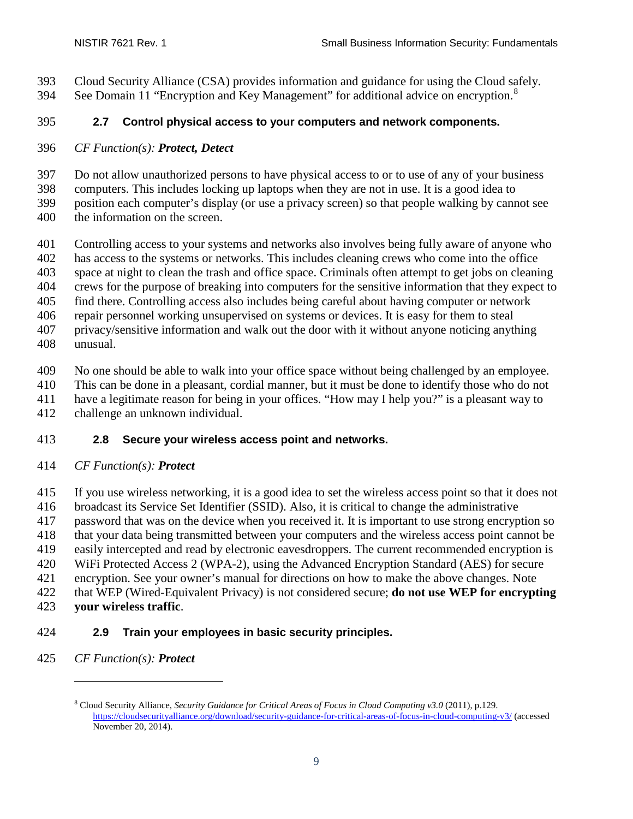- Cloud Security Alliance (CSA) provides information and guidance for using the Cloud safely. See Domain 11 "Encryption and Key Management" for additional advice on encryption.<sup>[8](#page-16-3)</sup>
- <span id="page-16-0"></span>**2.7 Control physical access to your computers and network components.**
- *CF Function(s): Protect, Detect*

 Do not allow unauthorized persons to have physical access to or to use of any of your business computers. This includes locking up laptops when they are not in use. It is a good idea to position each computer's display (or use a privacy screen) so that people walking by cannot see

- the information on the screen.
- Controlling access to your systems and networks also involves being fully aware of anyone who
- has access to the systems or networks. This includes cleaning crews who come into the office
- space at night to clean the trash and office space. Criminals often attempt to get jobs on cleaning
- crews for the purpose of breaking into computers for the sensitive information that they expect to
- find there. Controlling access also includes being careful about having computer or network
- repair personnel working unsupervised on systems or devices. It is easy for them to steal
- privacy/sensitive information and walk out the door with it without anyone noticing anything
- unusual.
- No one should be able to walk into your office space without being challenged by an employee.
- This can be done in a pleasant, cordial manner, but it must be done to identify those who do not
- have a legitimate reason for being in your offices. "How may I help you?" is a pleasant way to
- challenge an unknown individual.

## <span id="page-16-1"></span>**2.8 Secure your wireless access point and networks.**

*CF Function(s): Protect*

If you use wireless networking, it is a good idea to set the wireless access point so that it does not

- broadcast its Service Set Identifier (SSID). Also, it is critical to change the administrative
- password that was on the device when you received it. It is important to use strong encryption so
- that your data being transmitted between your computers and the wireless access point cannot be
- easily intercepted and read by electronic eavesdroppers. The current recommended encryption is
- WiFi Protected Access 2 (WPA-2), using the Advanced Encryption Standard (AES) for secure
- encryption. See your owner's manual for directions on how to make the above changes. Note
- that WEP (Wired-Equivalent Privacy) is not considered secure; **do not use WEP for encrypting**
- **your wireless traffic**.

## <span id="page-16-2"></span>**2.9 Train your employees in basic security principles.**

<span id="page-16-3"></span>*CF Function(s): Protect*

 $\overline{a}$ 

 Cloud Security Alliance, *Security Guidance for Critical Areas of Focus in Cloud Computing v3.0* (2011), p.129. <https://cloudsecurityalliance.org/download/security-guidance-for-critical-areas-of-focus-in-cloud-computing-v3/> (accessed November 20, 2014).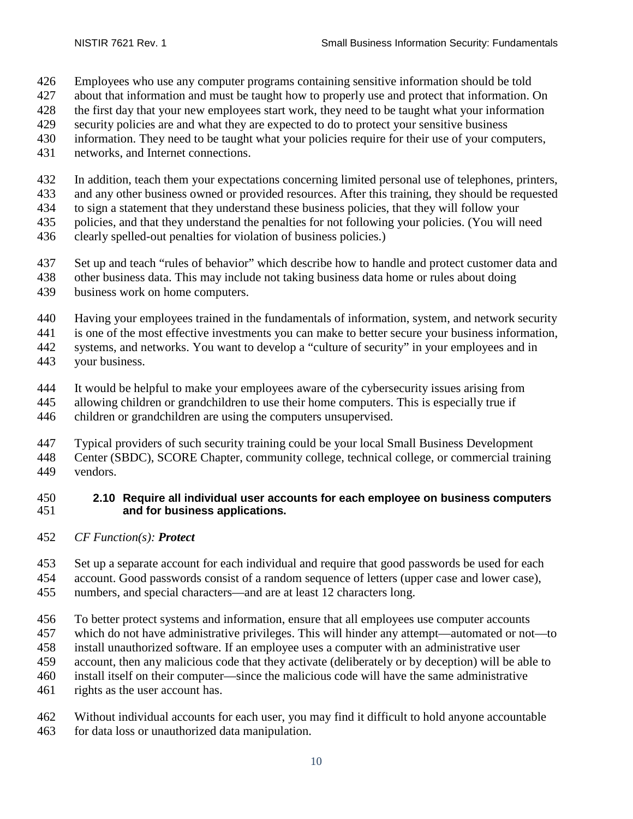- Employees who use any computer programs containing sensitive information should be told
- about that information and must be taught how to properly use and protect that information. On
- the first day that your new employees start work, they need to be taught what your information
- security policies are and what they are expected to do to protect your sensitive business
- information. They need to be taught what your policies require for their use of your computers,
- networks, and Internet connections.
- In addition, teach them your expectations concerning limited personal use of telephones, printers,
- and any other business owned or provided resources. After this training, they should be requested
- to sign a statement that they understand these business policies, that they will follow your
- policies, and that they understand the penalties for not following your policies. (You will need
- clearly spelled-out penalties for violation of business policies.)
- Set up and teach "rules of behavior" which describe how to handle and protect customer data and
- other business data. This may include not taking business data home or rules about doing
- business work on home computers.
- Having your employees trained in the fundamentals of information, system, and network security
- is one of the most effective investments you can make to better secure your business information,
- systems, and networks. You want to develop a "culture of security" in your employees and in your business.
- It would be helpful to make your employees aware of the cybersecurity issues arising from
- allowing children or grandchildren to use their home computers. This is especially true if
- children or grandchildren are using the computers unsupervised.
- Typical providers of such security training could be your local Small Business Development Center (SBDC), SCORE Chapter, community college, technical college, or commercial training vendors.

## <span id="page-17-0"></span> **2.10 Require all individual user accounts for each employee on business computers**  and for business applications.

- *CF Function(s): Protect*
- Set up a separate account for each individual and require that good passwords be used for each
- account. Good passwords consist of a random sequence of letters (upper case and lower case), numbers, and special characters—and are at least 12 characters long.
- 
- To better protect systems and information, ensure that all employees use computer accounts
- which do not have administrative privileges. This will hinder any attempt—automated or not—to
- install unauthorized software. If an employee uses a computer with an administrative user
- account, then any malicious code that they activate (deliberately or by deception) will be able to
- install itself on their computer—since the malicious code will have the same administrative
- rights as the user account has.
- Without individual accounts for each user, you may find it difficult to hold anyone accountable for data loss or unauthorized data manipulation.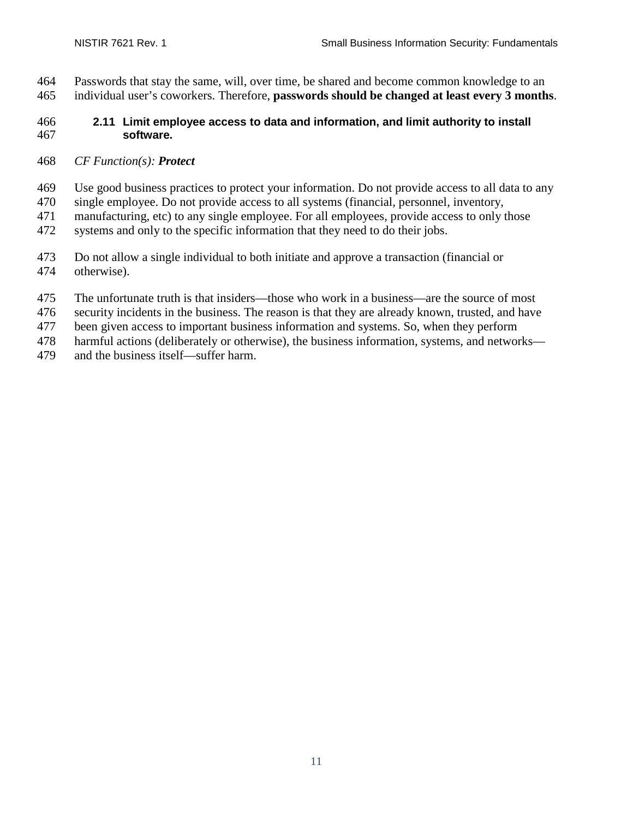Passwords that stay the same, will, over time, be shared and become common knowledge to an

individual user's coworkers. Therefore, **passwords should be changed at least every 3 months**.

#### <span id="page-18-0"></span> **2.11 Limit employee access to data and information, and limit authority to install**  software.

#### *CF Function(s): Protect*

- Use good business practices to protect your information. Do not provide access to all data to any
- single employee. Do not provide access to all systems (financial, personnel, inventory,
- manufacturing, etc) to any single employee. For all employees, provide access to only those
- systems and only to the specific information that they need to do their jobs.
- Do not allow a single individual to both initiate and approve a transaction (financial or otherwise).
- The unfortunate truth is that insiders—those who work in a business—are the source of most
- security incidents in the business. The reason is that they are already known, trusted, and have
- been given access to important business information and systems. So, when they perform
- harmful actions (deliberately or otherwise), the business information, systems, and networks—
- and the business itself—suffer harm.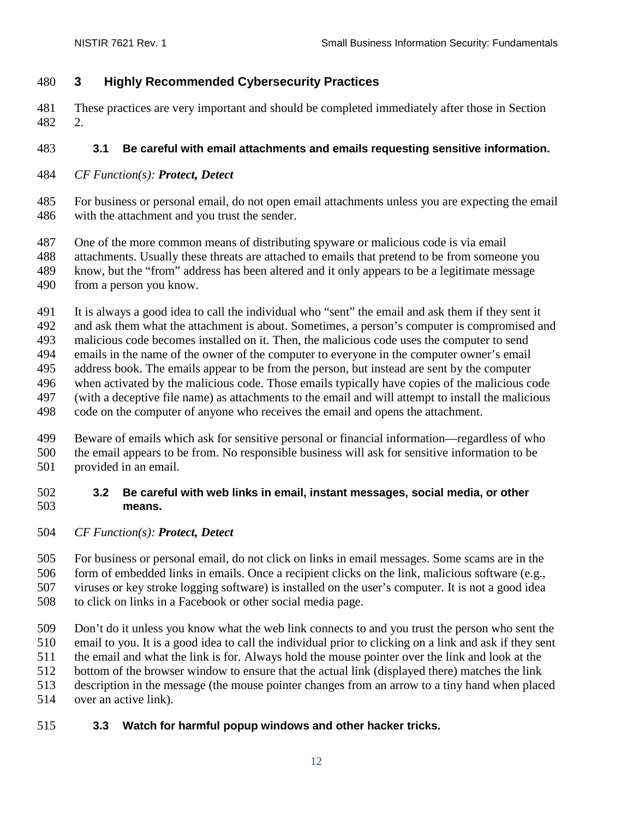# <span id="page-19-0"></span>**3 Highly Recommended Cybersecurity Practices**

 These practices are very important and should be completed immediately after those in Section [2.](#page-11-0)

## <span id="page-19-1"></span>**3.1 Be careful with email attachments and emails requesting sensitive information.**

*CF Function(s): Protect, Detect*

 For business or personal email, do not open email attachments unless you are expecting the email with the attachment and you trust the sender.

- One of the more common means of distributing spyware or malicious code is via email
- attachments. Usually these threats are attached to emails that pretend to be from someone you
- know, but the "from" address has been altered and it only appears to be a legitimate message
- from a person you know.

It is always a good idea to call the individual who "sent" the email and ask them if they sent it

and ask them what the attachment is about. Sometimes, a person's computer is compromised and

malicious code becomes installed on it. Then, the malicious code uses the computer to send

emails in the name of the owner of the computer to everyone in the computer owner's email

- address book. The emails appear to be from the person, but instead are sent by the computer
- when activated by the malicious code. Those emails typically have copies of the malicious code (with a deceptive file name) as attachments to the email and will attempt to install the malicious
- code on the computer of anyone who receives the email and opens the attachment.

 Beware of emails which ask for sensitive personal or financial information—regardless of who the email appears to be from. No responsible business will ask for sensitive information to be provided in an email.

## <span id="page-19-2"></span> **3.2 Be careful with web links in email, instant messages, social media, or other**  means.

*CF Function(s): Protect, Detect*

 For business or personal email, do not click on links in email messages. Some scams are in the form of embedded links in emails. Once a recipient clicks on the link, malicious software (e.g., viruses or key stroke logging software) is installed on the user's computer. It is not a good idea to click on links in a Facebook or other social media page.

 Don't do it unless you know what the web link connects to and you trust the person who sent the email to you. It is a good idea to call the individual prior to clicking on a link and ask if they sent the email and what the link is for. Always hold the mouse pointer over the link and look at the bottom of the browser window to ensure that the actual link (displayed there) matches the link description in the message (the mouse pointer changes from an arrow to a tiny hand when placed over an active link).

# <span id="page-19-3"></span>**3.3 Watch for harmful popup windows and other hacker tricks.**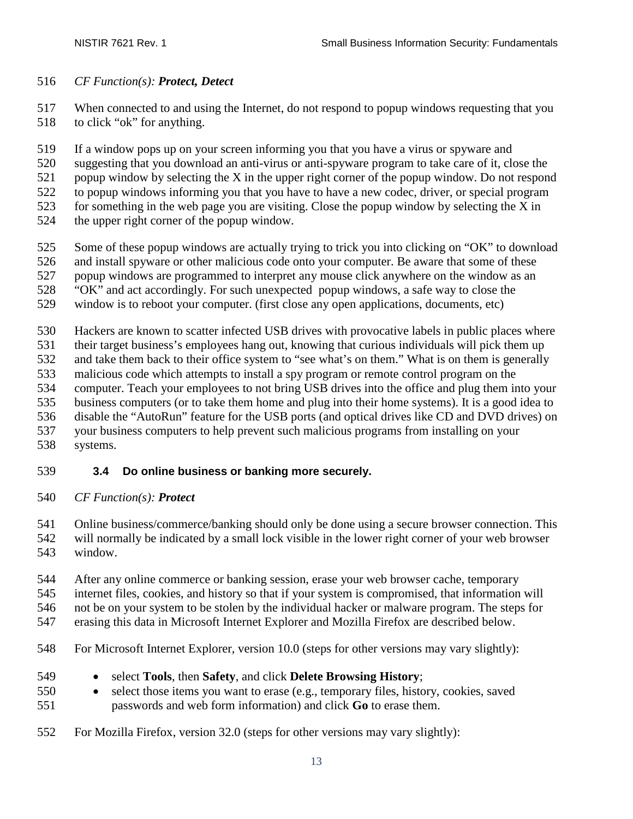#### *CF Function(s): Protect, Detect*

 When connected to and using the Internet, do not respond to popup windows requesting that you to click "ok" for anything.

 If a window pops up on your screen informing you that you have a virus or spyware and suggesting that you download an anti-virus or anti-spyware program to take care of it, close the popup window by selecting the X in the upper right corner of the popup window. Do not respond to popup windows informing you that you have to have a new codec, driver, or special program for something in the web page you are visiting. Close the popup window by selecting the X in

- the upper right corner of the popup window.
- Some of these popup windows are actually trying to trick you into clicking on "OK" to download
- and install spyware or other malicious code onto your computer. Be aware that some of these
- popup windows are programmed to interpret any mouse click anywhere on the window as an
- "OK" and act accordingly. For such unexpected popup windows, a safe way to close the
- window is to reboot your computer. (first close any open applications, documents, etc)

Hackers are known to scatter infected USB drives with provocative labels in public places where

their target business's employees hang out, knowing that curious individuals will pick them up

and take them back to their office system to "see what's on them." What is on them is generally

malicious code which attempts to install a spy program or remote control program on the

computer. Teach your employees to not bring USB drives into the office and plug them into your

business computers (or to take them home and plug into their home systems). It is a good idea to

- disable the "AutoRun" feature for the USB ports (and optical drives like CD and DVD drives) on your business computers to help prevent such malicious programs from installing on your
- 
- systems.

## <span id="page-20-0"></span>**3.4 Do online business or banking more securely.**

*CF Function(s): Protect*

 Online business/commerce/banking should only be done using a secure browser connection. This will normally be indicated by a small lock visible in the lower right corner of your web browser window.

After any online commerce or banking session, erase your web browser cache, temporary

internet files, cookies, and history so that if your system is compromised, that information will

not be on your system to be stolen by the individual hacker or malware program. The steps for

- erasing this data in Microsoft Internet Explorer and Mozilla Firefox are described below.
- For Microsoft Internet Explorer, version 10.0 (steps for other versions may vary slightly):
- select **Tools**, then **Safety**, and click **Delete Browsing History**;
- select those items you want to erase (e.g., temporary files, history, cookies, saved passwords and web form information) and click **Go** to erase them.
- For Mozilla Firefox, version 32.0 (steps for other versions may vary slightly):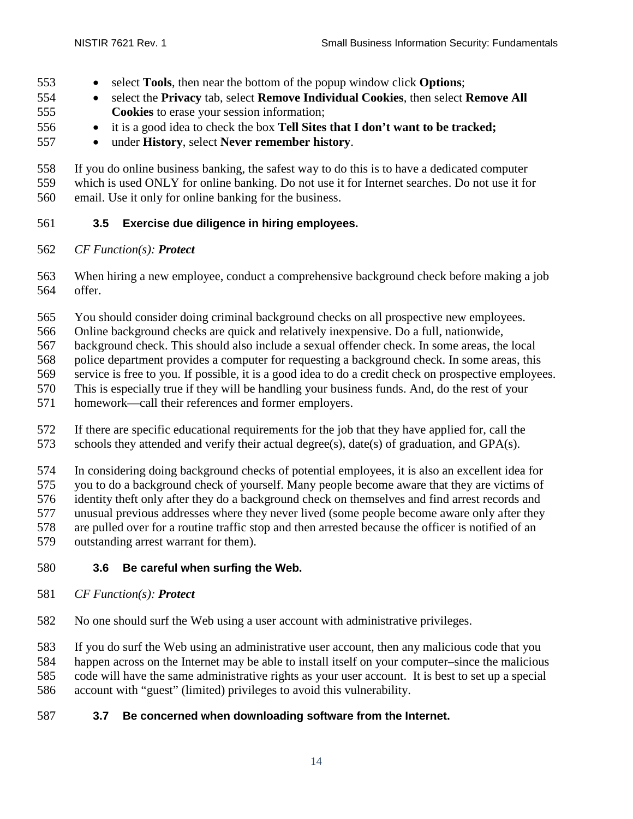- select **Tools**, then near the bottom of the popup window click **Options**;
- select the **Privacy** tab, select **Remove Individual Cookies**, then select **Remove All Cookies** to erase your session information;
- it is a good idea to check the box **Tell Sites that I don't want to be tracked;**
- under **History**, select **Never remember history**.

 If you do online business banking, the safest way to do this is to have a dedicated computer which is used ONLY for online banking. Do not use it for Internet searches. Do not use it for

email. Use it only for online banking for the business.

## <span id="page-21-0"></span>**3.5 Exercise due diligence in hiring employees.**

*CF Function(s): Protect*

 When hiring a new employee, conduct a comprehensive background check before making a job offer.

You should consider doing criminal background checks on all prospective new employees.

Online background checks are quick and relatively inexpensive. Do a full, nationwide,

background check. This should also include a sexual offender check. In some areas, the local

police department provides a computer for requesting a background check. In some areas, this

service is free to you. If possible, it is a good idea to do a credit check on prospective employees.

This is especially true if they will be handling your business funds. And, do the rest of your

- homework—call their references and former employers.
- If there are specific educational requirements for the job that they have applied for, call the schools they attended and verify their actual degree(s), date(s) of graduation, and GPA(s).

 In considering doing background checks of potential employees, it is also an excellent idea for you to do a background check of yourself. Many people become aware that they are victims of identity theft only after they do a background check on themselves and find arrest records and unusual previous addresses where they never lived (some people become aware only after they are pulled over for a routine traffic stop and then arrested because the officer is notified of an

outstanding arrest warrant for them).

## <span id="page-21-1"></span>**3.6 Be careful when surfing the Web.**

*CF Function(s): Protect*

No one should surf the Web using a user account with administrative privileges.

 If you do surf the Web using an administrative user account, then any malicious code that you happen across on the Internet may be able to install itself on your computer–since the malicious code will have the same administrative rights as your user account. It is best to set up a special account with "guest" (limited) privileges to avoid this vulnerability.

## <span id="page-21-2"></span>**3.7 Be concerned when downloading software from the Internet.**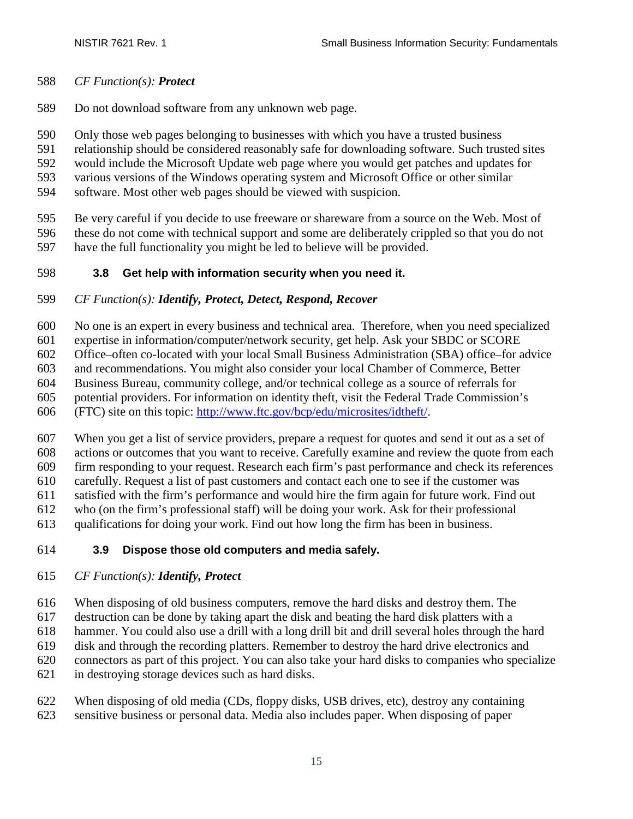#### *CF Function(s): Protect*

- Do not download software from any unknown web page.
- Only those web pages belonging to businesses with which you have a trusted business
- relationship should be considered reasonably safe for downloading software. Such trusted sites
- would include the Microsoft Update web page where you would get patches and updates for
- various versions of the Windows operating system and Microsoft Office or other similar
- software. Most other web pages should be viewed with suspicion.
- Be very careful if you decide to use freeware or shareware from a source on the Web. Most of
- these do not come with technical support and some are deliberately crippled so that you do not
- have the full functionality you might be led to believe will be provided.

# <span id="page-22-0"></span>**3.8 Get help with information security when you need it.**

## *CF Function(s): Identify, Protect, Detect, Respond, Recover*

No one is an expert in every business and technical area. Therefore, when you need specialized

- expertise in information/computer/network security, get help. Ask your SBDC or SCORE
- Office–often co-located with your local Small Business Administration (SBA) office–for advice
- and recommendations. You might also consider your local Chamber of Commerce, Better
- Business Bureau, community college, and/or technical college as a source of referrals for
- potential providers. For information on identity theft, visit the Federal Trade Commission's
- (FTC) site on this topic: [http://www.ftc.gov/bcp/edu/microsites/idtheft/.](http://www.ftc.gov/bcp/edu/microsites/idtheft/)
- When you get a list of service providers, prepare a request for quotes and send it out as a set of actions or outcomes that you want to receive. Carefully examine and review the quote from each
- firm responding to your request. Research each firm's past performance and check its references
- carefully. Request a list of past customers and contact each one to see if the customer was
- satisfied with the firm's performance and would hire the firm again for future work. Find out
- who (on the firm's professional staff) will be doing your work. Ask for their professional
- qualifications for doing your work. Find out how long the firm has been in business.

# <span id="page-22-1"></span>**3.9 Dispose those old computers and media safely.**

# *CF Function(s): Identify, Protect*

 When disposing of old business computers, remove the hard disks and destroy them. The destruction can be done by taking apart the disk and beating the hard disk platters with a hammer. You could also use a drill with a long drill bit and drill several holes through the hard disk and through the recording platters. Remember to destroy the hard drive electronics and connectors as part of this project. You can also take your hard disks to companies who specialize

- in destroying storage devices such as hard disks.
- When disposing of old media (CDs, floppy disks, USB drives, etc), destroy any containing sensitive business or personal data. Media also includes paper. When disposing of paper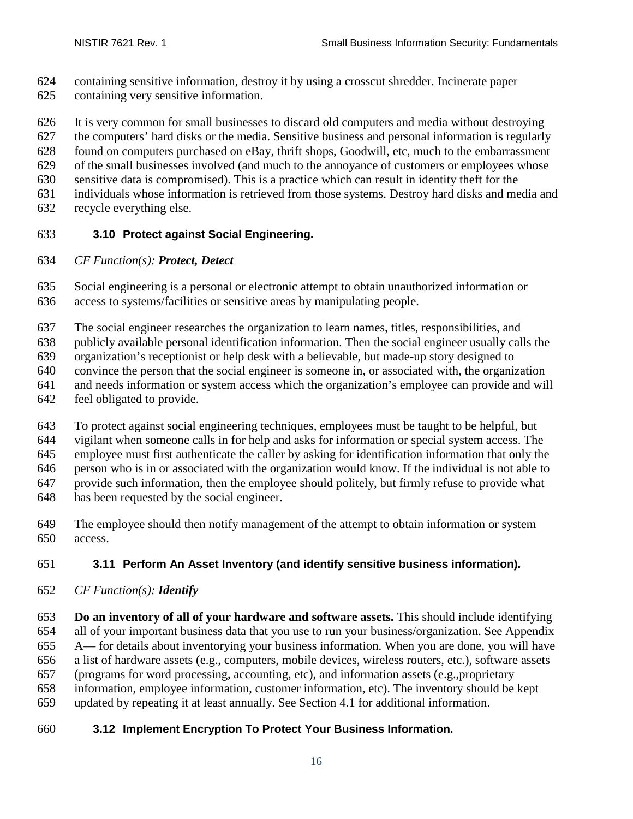- containing sensitive information, destroy it by using a crosscut shredder. Incinerate paper
- containing very sensitive information.

It is very common for small businesses to discard old computers and media without destroying

the computers' hard disks or the media. Sensitive business and personal information is regularly

found on computers purchased on eBay, thrift shops, Goodwill, etc, much to the embarrassment

- of the small businesses involved (and much to the annoyance of customers or employees whose
- sensitive data is compromised). This is a practice which can result in identity theft for the
- individuals whose information is retrieved from those systems. Destroy hard disks and media and
- recycle everything else.

# <span id="page-23-0"></span>**3.10 Protect against Social Engineering.**

*CF Function(s): Protect, Detect*

Social engineering is a personal or electronic attempt to obtain unauthorized information or

access to systems/facilities or sensitive areas by manipulating people.

The social engineer researches the organization to learn names, titles, responsibilities, and

publicly available personal identification information. Then the social engineer usually calls the

- organization's receptionist or help desk with a believable, but made-up story designed to
- convince the person that the social engineer is someone in, or associated with, the organization
- and needs information or system access which the organization's employee can provide and will
- feel obligated to provide.
- To protect against social engineering techniques, employees must be taught to be helpful, but

vigilant when someone calls in for help and asks for information or special system access. The

employee must first authenticate the caller by asking for identification information that only the

person who is in or associated with the organization would know. If the individual is not able to

provide such information, then the employee should politely, but firmly refuse to provide what

- has been requested by the social engineer.
- The employee should then notify management of the attempt to obtain information or system access.

# <span id="page-23-1"></span>**3.11 Perform An Asset Inventory (and identify sensitive business information).**

*CF Function(s): Identify*

 **Do an inventory of all of your hardware and software assets.** This should include identifying all of your important business data that you use to run your business/organization. See [Appendix](#page-28-0)  [A—](#page-28-0) for details about inventorying your business information. When you are done, you will have a list of hardware assets (e.g., computers, mobile devices, wireless routers, etc.), software assets (programs for word processing, accounting, etc), and information assets (e.g.,proprietary information, employee information, customer information, etc). The inventory should be kept updated by repeating it at least annually. See Section [4.1](#page-25-1) for additional information.

# <span id="page-23-2"></span>**3.12 Implement Encryption To Protect Your Business Information.**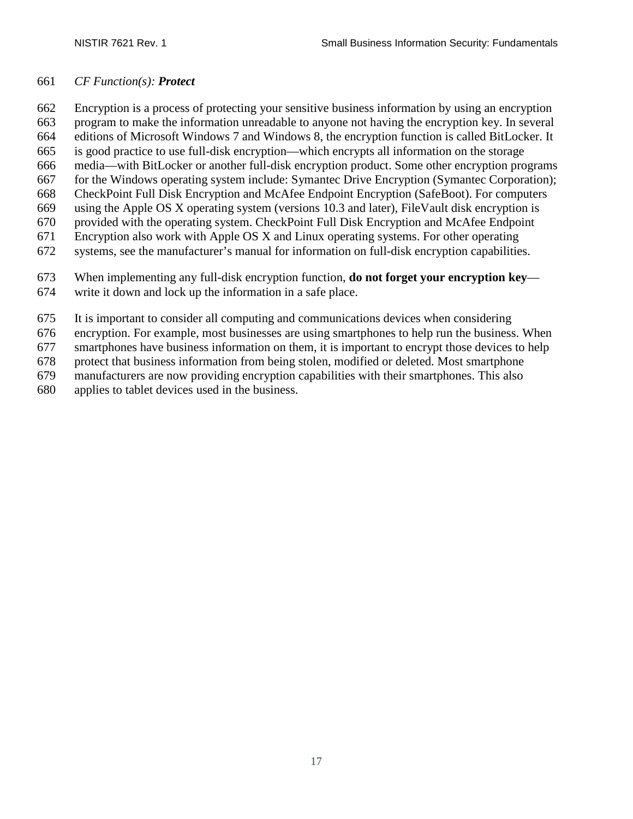#### *CF Function(s): Protect*

 Encryption is a process of protecting your sensitive business information by using an encryption program to make the information unreadable to anyone not having the encryption key. In several editions of Microsoft Windows 7 and Windows 8, the encryption function is called BitLocker. It is good practice to use full-disk encryption—which encrypts all information on the storage media—with BitLocker or another full-disk encryption product. Some other encryption programs for the Windows operating system include: Symantec Drive Encryption (Symantec Corporation); CheckPoint Full Disk Encryption and McAfee Endpoint Encryption (SafeBoot). For computers using the Apple OS X operating system (versions 10.3 and later), FileVault disk encryption is provided with the operating system. CheckPoint Full Disk Encryption and McAfee Endpoint Encryption also work with Apple OS X and Linux operating systems. For other operating

systems, see the manufacturer's manual for information on full-disk encryption capabilities.

 When implementing any full-disk encryption function, **do not forget your encryption key**— write it down and lock up the information in a safe place.

It is important to consider all computing and communications devices when considering

encryption. For example, most businesses are using smartphones to help run the business. When

smartphones have business information on them, it is important to encrypt those devices to help

protect that business information from being stolen, modified or deleted. Most smartphone

manufacturers are now providing encryption capabilities with their smartphones. This also

applies to tablet devices used in the business.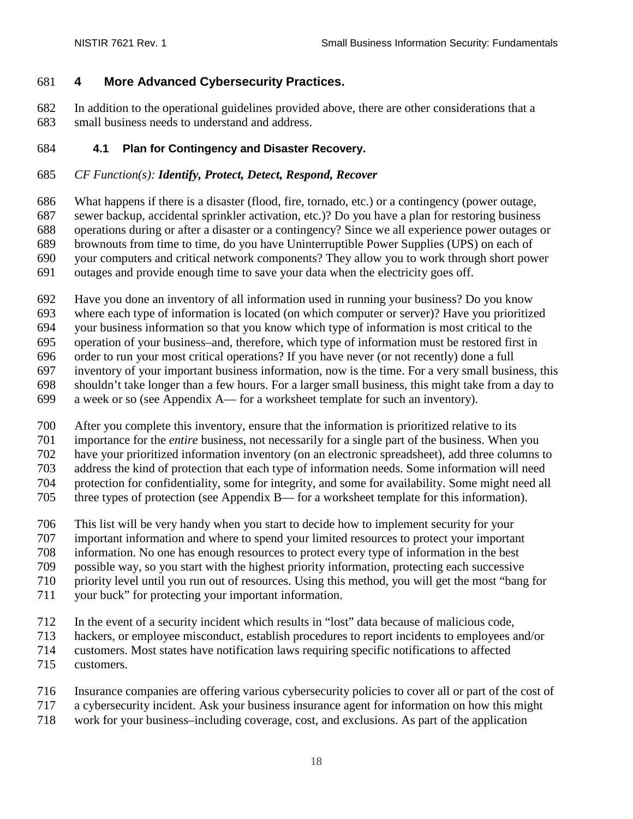## <span id="page-25-0"></span>**4 More Advanced Cybersecurity Practices.**

 In addition to the operational guidelines provided above, there are other considerations that a small business needs to understand and address.

## <span id="page-25-1"></span>**4.1 Plan for Contingency and Disaster Recovery.**

## *CF Function(s): Identify, Protect, Detect, Respond, Recover*

 What happens if there is a disaster (flood, fire, tornado, etc.) or a contingency (power outage, sewer backup, accidental sprinkler activation, etc.)? Do you have a plan for restoring business operations during or after a disaster or a contingency? Since we all experience power outages or brownouts from time to time, do you have Uninterruptible Power Supplies (UPS) on each of your computers and critical network components? They allow you to work through short power outages and provide enough time to save your data when the electricity goes off.

Have you done an inventory of all information used in running your business? Do you know

where each type of information is located (on which computer or server)? Have you prioritized

your business information so that you know which type of information is most critical to the

operation of your business–and, therefore, which type of information must be restored first in

order to run your most critical operations? If you have never (or not recently) done a full

inventory of your important business information, now is the time. For a very small business, this

shouldn't take longer than a few hours. For a larger small business, this might take from a day to

a week or so (see [Appendix A—](#page-28-0) for a worksheet template for such an inventory).

After you complete this inventory, ensure that the information is prioritized relative to its

importance for the *entire* business, not necessarily for a single part of the business. When you

have your prioritized information inventory (on an electronic spreadsheet), add three columns to

address the kind of protection that each type of information needs. Some information will need

protection for confidentiality, some for integrity, and some for availability. Some might need all

three types of protection (see [Appendix B—](#page-29-0) for a worksheet template for this information).

This list will be very handy when you start to decide how to implement security for your

important information and where to spend your limited resources to protect your important

information. No one has enough resources to protect every type of information in the best

possible way, so you start with the highest priority information, protecting each successive

priority level until you run out of resources. Using this method, you will get the most "bang for

your buck" for protecting your important information.

In the event of a security incident which results in "lost" data because of malicious code,

- hackers, or employee misconduct, establish procedures to report incidents to employees and/or
- customers. Most states have notification laws requiring specific notifications to affected
- customers.
- Insurance companies are offering various cybersecurity policies to cover all or part of the cost of
- a cybersecurity incident. Ask your business insurance agent for information on how this might
- work for your business–including coverage, cost, and exclusions. As part of the application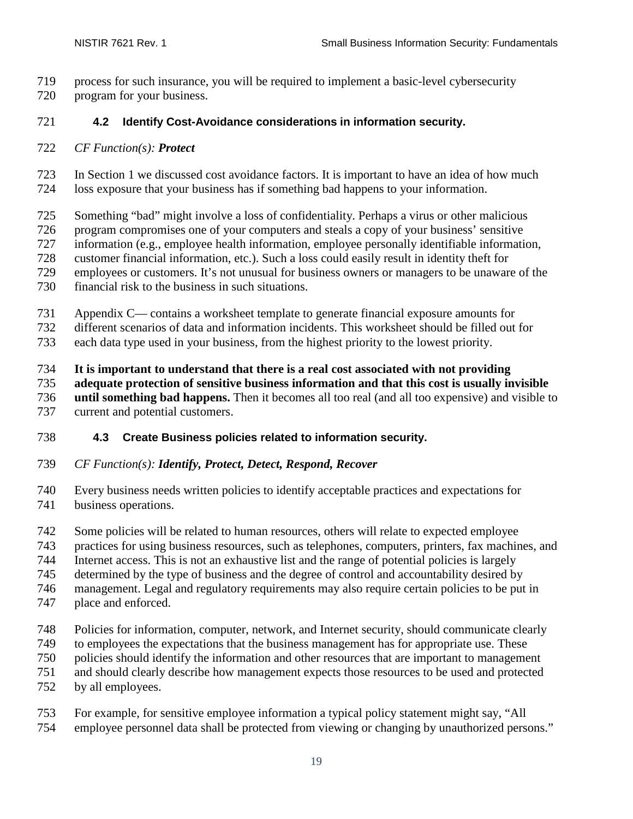- process for such insurance, you will be required to implement a basic-level cybersecurity
- program for your business.
- <span id="page-26-0"></span>**4.2 Identify Cost-Avoidance considerations in information security.**
- *CF Function(s): Protect*

 In Section [1](#page-9-0) we discussed cost avoidance factors. It is important to have an idea of how much loss exposure that your business has if something bad happens to your information.

Something "bad" might involve a loss of confidentiality. Perhaps a virus or other malicious

program compromises one of your computers and steals a copy of your business' sensitive

information (e.g., employee health information, employee personally identifiable information,

- customer financial information, etc.). Such a loss could easily result in identity theft for employees or customers. It's not unusual for business owners or managers to be unaware of the
- 
- financial risk to the business in such situations.
- [Appendix C—](#page-30-0) contains a worksheet template to generate financial exposure amounts for

different scenarios of data and information incidents. This worksheet should be filled out for

each data type used in your business, from the highest priority to the lowest priority.

# **It is important to understand that there is a real cost associated with not providing**

**adequate protection of sensitive business information and that this cost is usually invisible** 

 **until something bad happens.** Then it becomes all too real (and all too expensive) and visible to current and potential customers.

<span id="page-26-1"></span>**4.3 Create Business policies related to information security.**

# *CF Function(s): Identify, Protect, Detect, Respond, Recover*

- Every business needs written policies to identify acceptable practices and expectations for business operations.
- Some policies will be related to human resources, others will relate to expected employee
- practices for using business resources, such as telephones, computers, printers, fax machines, and
- Internet access. This is not an exhaustive list and the range of potential policies is largely
- determined by the type of business and the degree of control and accountability desired by
- management. Legal and regulatory requirements may also require certain policies to be put in
- place and enforced.
- Policies for information, computer, network, and Internet security, should communicate clearly
- to employees the expectations that the business management has for appropriate use. These
- policies should identify the information and other resources that are important to management
- and should clearly describe how management expects those resources to be used and protected
- by all employees.
- For example, for sensitive employee information a typical policy statement might say, "All
- employee personnel data shall be protected from viewing or changing by unauthorized persons."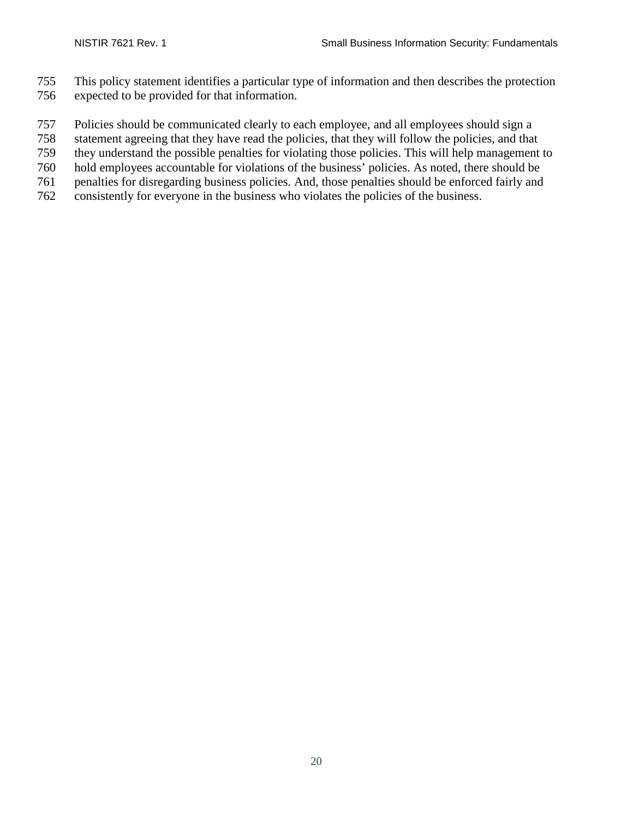- This policy statement identifies a particular type of information and then describes the protection expected to be provided for that information.
- Policies should be communicated clearly to each employee, and all employees should sign a
- statement agreeing that they have read the policies, that they will follow the policies, and that
- they understand the possible penalties for violating those policies. This will help management to
- hold employees accountable for violations of the business' policies. As noted, there should be
- penalties for disregarding business policies. And, those penalties should be enforced fairly and
- consistently for everyone in the business who violates the policies of the business.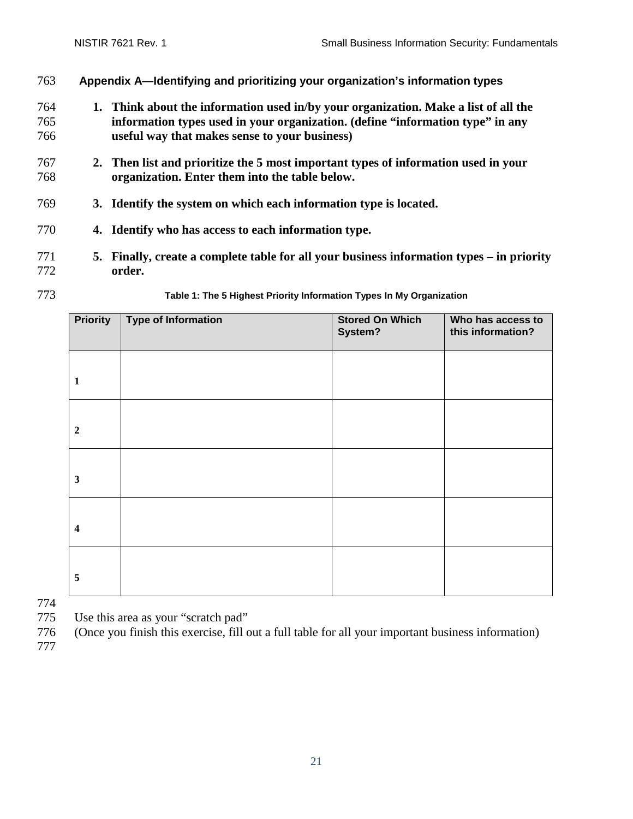- <span id="page-28-0"></span> **Appendix A—Identifying and prioritizing your organization's information types 1. Think about the information used in/by your organization. Make a list of all the information types used in your organization. (define "information type" in any useful way that makes sense to your business) 2. Then list and prioritize the 5 most important types of information used in your organization. Enter them into the table below. 3. Identify the system on which each information type is located. 4. Identify who has access to each information type. 5. Finally, create a complete table for all your business information types – in priority order.**
- 

#### **Table 1: The 5 Highest Priority Information Types In My Organization**

| <b>Priority</b>  | <b>Type of Information</b> | <b>Stored On Which</b><br>System? | Who has access to<br>this information? |
|------------------|----------------------------|-----------------------------------|----------------------------------------|
| $\mathbf{1}$     |                            |                                   |                                        |
|                  |                            |                                   |                                        |
| $\overline{2}$   |                            |                                   |                                        |
| $\mathbf{3}$     |                            |                                   |                                        |
| $\boldsymbol{4}$ |                            |                                   |                                        |
| 5                |                            |                                   |                                        |

Use this area as your "scratch pad"

(Once you finish this exercise, fill out a full table for all your important business information)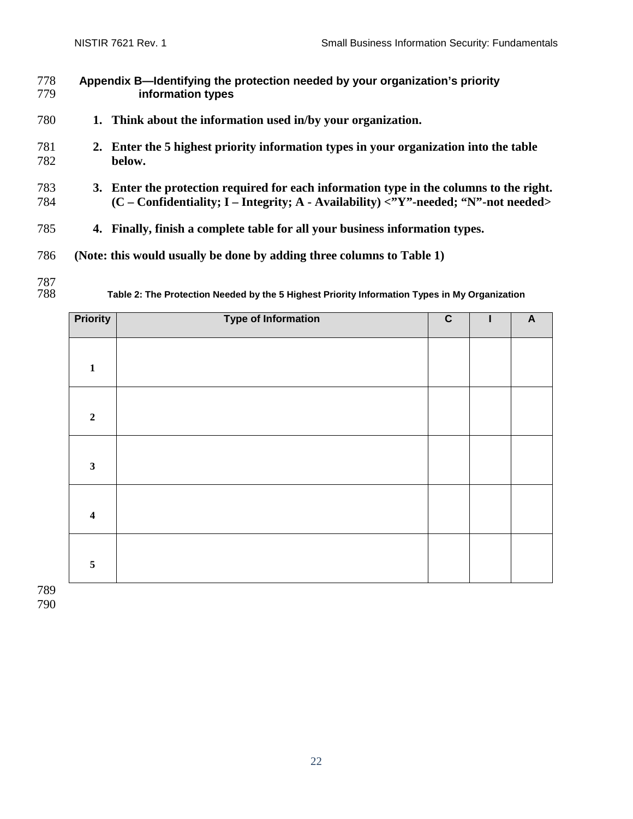<span id="page-29-0"></span>

| 778<br>779 | Appendix B—Identifying the protection needed by your organization's priority<br>information types                                                                                |
|------------|----------------------------------------------------------------------------------------------------------------------------------------------------------------------------------|
| 780        | 1. Think about the information used in/by your organization.                                                                                                                     |
| 781<br>782 | 2. Enter the 5 highest priority information types in your organization into the table<br>below.                                                                                  |
| 783<br>784 | 3. Enter the protection required for each information type in the columns to the right.<br>$(C -$ Confidentiality; I – Integrity; A - Availability) <"Y"-needed; "N"-not needed> |
| 785        | 4. Finally, finish a complete table for all your business information types.                                                                                                     |
| 786        | (Note: this would usually be done by adding three columns to Table 1)                                                                                                            |
| $ -$       |                                                                                                                                                                                  |

| 788 | Table 2: The Protection Needed by the 5 Highest Priority Information Types in My Organization |
|-----|-----------------------------------------------------------------------------------------------|
|-----|-----------------------------------------------------------------------------------------------|

| <b>Priority</b>         | <b>Type of Information</b> | $\mathbf{C}$ | $\boldsymbol{\mathsf{A}}$ |
|-------------------------|----------------------------|--------------|---------------------------|
|                         |                            |              |                           |
| $\mathbf 1$             |                            |              |                           |
|                         |                            |              |                           |
| $\overline{2}$          |                            |              |                           |
|                         |                            |              |                           |
| $\mathbf{3}$            |                            |              |                           |
|                         |                            |              |                           |
| $\overline{\mathbf{4}}$ |                            |              |                           |
|                         |                            |              |                           |
| 5                       |                            |              |                           |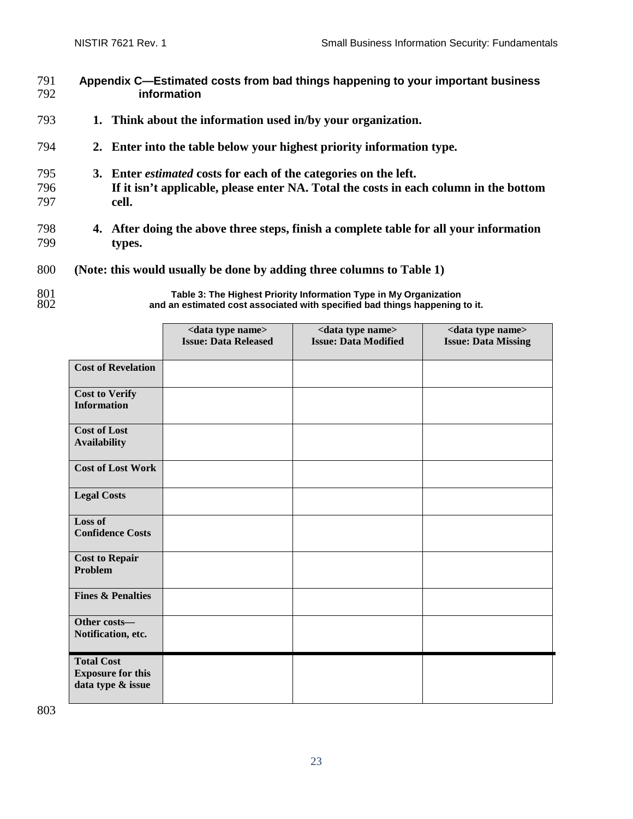#### <span id="page-30-0"></span>791 **Appendix C—Estimated costs from bad things happening to your important business information**

- 793 **1. Think about the information used in/by your organization.**
- 794 **2. Enter into the table below your highest priority information type.**
- 795 **3. Enter** *estimated* **costs for each of the categories on the left.**
- 796 **If it isn't applicable, please enter NA. Total the costs in each column in the bottom**  797 **cell.**
- 798 **4. After doing the above three steps, finish a complete table for all your information**  799 **types.**
- 800 **(Note: this would usually be done by adding three columns to Table 1)**
- 
- 

801 **Table 3: The Highest Priority Information Type in My Organization**  and an estimated cost associated with specified bad things happening to it.

|                                                                    | <data name="" type=""><br/><b>Issue: Data Released</b></data> | <data name="" type=""><br/><b>Issue: Data Modified</b></data> | <data name="" type=""><br/><b>Issue: Data Missing</b></data> |
|--------------------------------------------------------------------|---------------------------------------------------------------|---------------------------------------------------------------|--------------------------------------------------------------|
| <b>Cost of Revelation</b>                                          |                                                               |                                                               |                                                              |
| <b>Cost to Verify</b><br><b>Information</b>                        |                                                               |                                                               |                                                              |
| <b>Cost of Lost</b><br><b>Availability</b>                         |                                                               |                                                               |                                                              |
| <b>Cost of Lost Work</b>                                           |                                                               |                                                               |                                                              |
| <b>Legal Costs</b>                                                 |                                                               |                                                               |                                                              |
| Loss of<br><b>Confidence Costs</b>                                 |                                                               |                                                               |                                                              |
| <b>Cost to Repair</b><br>Problem                                   |                                                               |                                                               |                                                              |
| <b>Fines &amp; Penalties</b>                                       |                                                               |                                                               |                                                              |
| Other costs-<br>Notification, etc.                                 |                                                               |                                                               |                                                              |
| <b>Total Cost</b><br><b>Exposure for this</b><br>data type & issue |                                                               |                                                               |                                                              |